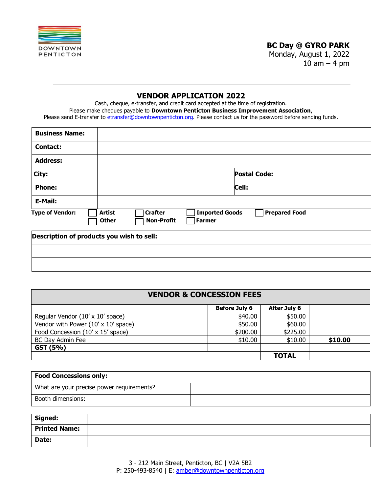

# **BC Day @ GYRO PARK**

Monday, August 1, 2022 10  $am - 4 pm$ 

# **VENDOR APPLICATION 2022**

Cash, cheque, e-transfer, and credit card accepted at the time of registration. Please make cheques payable to **Downtown Penticton Business Improvement Association**, Please send E-transfer to etransfer@downtownpenticton.org. Please contact us for the password before sending funds.

| <b>Business Name:</b>                     |                                                 |                                                             |                      |
|-------------------------------------------|-------------------------------------------------|-------------------------------------------------------------|----------------------|
| <b>Contact:</b>                           |                                                 |                                                             |                      |
| <b>Address:</b>                           |                                                 |                                                             |                      |
| City:                                     |                                                 |                                                             | <b>Postal Code:</b>  |
| <b>Phone:</b>                             |                                                 |                                                             | Cell:                |
| E-Mail:                                   |                                                 |                                                             |                      |
| <b>Type of Vendor:</b>                    | <b>Crafter</b><br><b>Artist</b><br><b>Other</b> | <b>Imported Goods</b><br><b>Non-Profit</b><br><b>Farmer</b> | <b>Prepared Food</b> |
| Description of products you wish to sell: |                                                 |                                                             |                      |
|                                           |                                                 |                                                             |                      |
|                                           |                                                 |                                                             |                      |

| <b>VENDOR &amp; CONCESSION FEES</b> |                      |                     |         |  |  |  |
|-------------------------------------|----------------------|---------------------|---------|--|--|--|
|                                     | <b>Before July 6</b> | <b>After July 6</b> |         |  |  |  |
| Regular Vendor (10' x 10' space)    | \$40.00              | \$50.00             |         |  |  |  |
| Vendor with Power (10' x 10' space) | \$50.00              | \$60.00             |         |  |  |  |
| Food Concession (10' x 15' space)   | \$200.00             | \$225.00            |         |  |  |  |
| <b>BC Day Admin Fee</b>             | \$10.00              | \$10.00             | \$10.00 |  |  |  |
| GST (5%)                            |                      |                     |         |  |  |  |
|                                     |                      | <b>TOTAL</b>        |         |  |  |  |

| <b>Food Concessions only:</b>             |  |  |
|-------------------------------------------|--|--|
| What are your precise power requirements? |  |  |
| Booth dimensions:                         |  |  |

| Signed:       |  |
|---------------|--|
| Printed Name: |  |
| Date:         |  |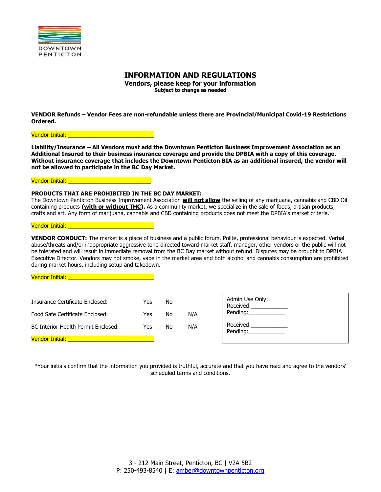

# **INFORMATION AND REGULATIONS**

**Vendors, please keep for your information Subject to change as needed**

**VENDOR Refunds – Vendor Fees are non-refundable unless there are Provincial/Municipal Covid-19 Restrictions Ordered.** 

Vendor Initial: **Wendor** 

**Liability/Insurance – All Vendors must add the Downtown Penticton Business Improvement Association as an Additional Insured to their business insurance coverage and provide the DPBIA with a copy of this coverage. Without insurance coverage that includes the Downtown Penticton BIA as an additional insured, the vendor will not be allowed to participate in the BC Day Market.**

Vendor Initial: Unitial

### **PRODUCTS THAT ARE PROHIBITED IN THE BC DAY MARKET:**

The Downtown Penticton Business Improvement Association **will not allow** the selling of any marijuana, cannabis and CBD Oil containing products **(with or without THC).** As a community market, we specialize in the sale of foods, artisan products, crafts and art. Any form of marijuana, cannabis and CBD containing products does not meet the DPBIA's market criteria.

#### Vendor Initial:

**VENDOR CONDUCT:** The market is a place of business and a public forum. Polite, professional behaviour is expected. Verbal abuse/threats and/or inappropriate aggressive tone directed toward market staff, manager, other vendors or the public will not be tolerated and will result in immediate removal from the BC Day market without refund. Disputes may be brought to DPBIA Executive Director. Vendors may not smoke, vape in the market area and both alcohol and cannabis consumption are prohibited during market hours, including setup and takedown.

| Vendor Initial:                                                                                           |                   |                |            |                                                                 |
|-----------------------------------------------------------------------------------------------------------|-------------------|----------------|------------|-----------------------------------------------------------------|
| Insurance Certificate Enclosed:<br>Food Safe Certificate Enclosed:<br>BC Interior Health Permit Enclosed: | Yes<br>Yes<br>Yes | No<br>No<br>No | N/A<br>N/A | Admin Use Only:<br>Received:<br>Pending:<br>Received: Necessary |
| <b>Vendor Initial:</b>                                                                                    |                   |                |            | Pending:                                                        |

\*Your initials confirm that the information you provided is truthful, accurate and that you have read and agree to the vendors' scheduled terms and conditions.